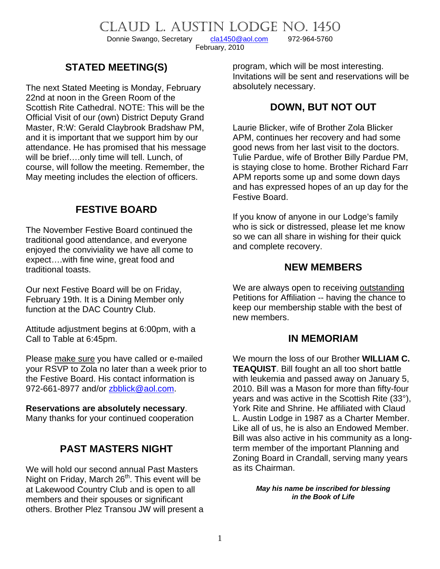CLAUD L. AUSTIN LODGE NO. 1450<br>Donnie Swango, Secretary cla1450@aol.com 972-964-5760

Donnie Swango, Secretary [cla1450@aol.com](mailto:cla1450@aol.com) 972-964-5760

February, 2010

# **STATED MEETING(S)**

The next Stated Meeting is Monday, February 22nd at noon in the Green Room of the Scottish Rite Cathedral. NOTE: This will be the Official Visit of our (own) District Deputy Grand Master, R:W: Gerald Claybrook Bradshaw PM, and it is important that we support him by our attendance. He has promised that his message will be brief….only time will tell. Lunch, of course, will follow the meeting. Remember, the May meeting includes the election of officers.

# **FESTIVE BOARD**

The November Festive Board continued the traditional good attendance, and everyone enjoyed the conviviality we have all come to expect….with fine wine, great food and traditional toasts.

Our next Festive Board will be on Friday, February 19th. It is a Dining Member only function at the DAC Country Club.

Attitude adjustment begins at 6:00pm, with a Call to Table at 6:45pm.

Please make sure you have called or e-mailed your RSVP to Zola no later than a week prior to the Festive Board. His contact information is 972-661-8977 and/or [zbblick@aol.com](mailto:zbblick@aol.com).

#### **Reservations are absolutely necessary**.

Many thanks for your continued cooperation

# **PAST MASTERS NIGHT**

We will hold our second annual Past Masters Night on Friday, March  $26<sup>th</sup>$ . This event will be at Lakewood Country Club and is open to all members and their spouses or significant others. Brother Plez Transou JW will present a program, which will be most interesting. Invitations will be sent and reservations will be absolutely necessary.

## **DOWN, BUT NOT OUT**

Laurie Blicker, wife of Brother Zola Blicker APM, continues her recovery and had some good news from her last visit to the doctors. Tulie Pardue, wife of Brother Billy Pardue PM, is staying close to home. Brother Richard Farr APM reports some up and some down days and has expressed hopes of an up day for the Festive Board.

If you know of anyone in our Lodge's family who is sick or distressed, please let me know so we can all share in wishing for their quick and complete recovery.

### **NEW MEMBERS**

We are always open to receiving outstanding Petitions for Affiliation -- having the chance to keep our membership stable with the best of new members.

#### **IN MEMORIAM**

We mourn the loss of our Brother **WILLIAM C. TEAQUIST**. Bill fought an all too short battle with leukemia and passed away on January 5, 2010. Bill was a Mason for more than fifty-four years and was active in the Scottish Rite (33°), York Rite and Shrine. He affiliated with Claud L. Austin Lodge in 1987 as a Charter Member. Like all of us, he is also an Endowed Member. Bill was also active in his community as a longterm member of the important Planning and Zoning Board in Crandall, serving many years as its Chairman.

> *May his name be inscribed for blessing in the Book of Life*